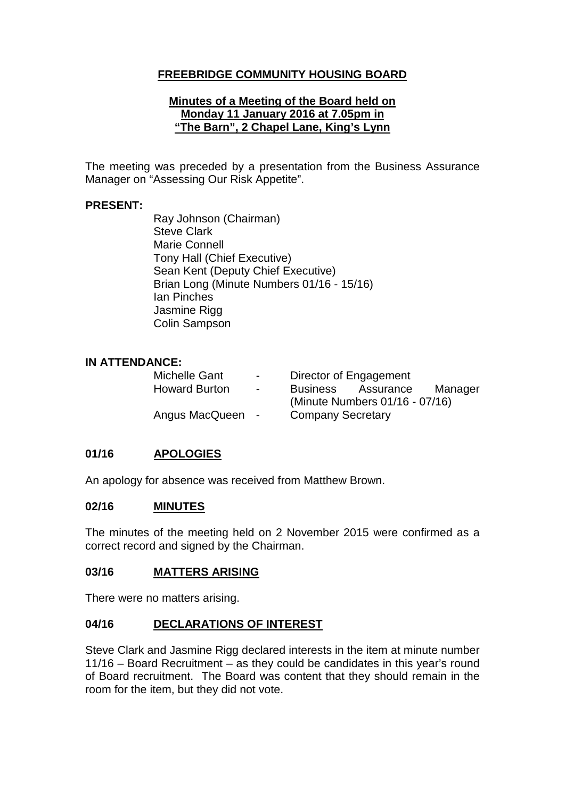# **FREEBRIDGE COMMUNITY HOUSING BOARD**

#### **Minutes of a Meeting of the Board held on Monday 11 January 2016 at 7.05pm in "The Barn", 2 Chapel Lane, King's Lynn**

The meeting was preceded by a presentation from the Business Assurance Manager on "Assessing Our Risk Appetite".

#### **PRESENT:**

Ray Johnson (Chairman) Steve Clark Marie Connell Tony Hall (Chief Executive) Sean Kent (Deputy Chief Executive) Brian Long (Minute Numbers 01/16 - 15/16) Ian Pinches Jasmine Rigg Colin Sampson

### **IN ATTENDANCE:**

| <b>Michelle Gant</b> | $\blacksquare$ | Director of Engagement         |           |         |
|----------------------|----------------|--------------------------------|-----------|---------|
| <b>Howard Burton</b> | $\sim$         | <b>Business</b>                | Assurance | Manager |
|                      |                | (Minute Numbers 01/16 - 07/16) |           |         |
| Angus MacQueen -     |                | <b>Company Secretary</b>       |           |         |

# **01/16 APOLOGIES**

An apology for absence was received from Matthew Brown.

#### **02/16 MINUTES**

The minutes of the meeting held on 2 November 2015 were confirmed as a correct record and signed by the Chairman.

### **03/16 MATTERS ARISING**

There were no matters arising.

### **04/16 DECLARATIONS OF INTEREST**

Steve Clark and Jasmine Rigg declared interests in the item at minute number 11/16 – Board Recruitment – as they could be candidates in this year's round of Board recruitment. The Board was content that they should remain in the room for the item, but they did not vote.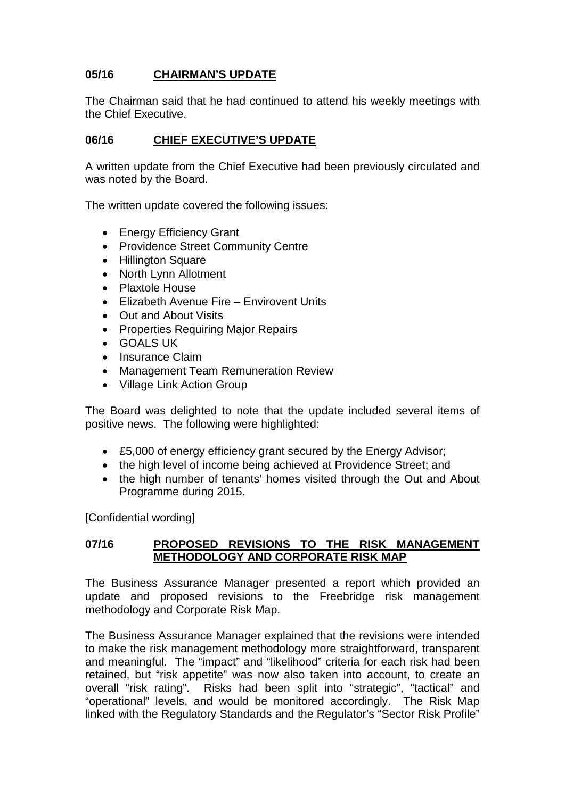# **05/16 CHAIRMAN'S UPDATE**

The Chairman said that he had continued to attend his weekly meetings with the Chief Executive.

### **06/16 CHIEF EXECUTIVE'S UPDATE**

A written update from the Chief Executive had been previously circulated and was noted by the Board.

The written update covered the following issues:

- Energy Efficiency Grant
- Providence Street Community Centre
- Hillington Square
- North Lynn Allotment
- Plaxtole House
- Elizabeth Avenue Fire Envirovent Units
- Out and About Visits
- Properties Requiring Major Repairs
- GOALS UK
- Insurance Claim
- Management Team Remuneration Review
- Village Link Action Group

The Board was delighted to note that the update included several items of positive news. The following were highlighted:

- £5,000 of energy efficiency grant secured by the Energy Advisor;
- the high level of income being achieved at Providence Street; and
- the high number of tenants' homes visited through the Out and About Programme during 2015.

[Confidential wording]

### **07/16 PROPOSED REVISIONS TO THE RISK MANAGEMENT METHODOLOGY AND CORPORATE RISK MAP**

The Business Assurance Manager presented a report which provided an update and proposed revisions to the Freebridge risk management methodology and Corporate Risk Map.

The Business Assurance Manager explained that the revisions were intended to make the risk management methodology more straightforward, transparent and meaningful. The "impact" and "likelihood" criteria for each risk had been retained, but "risk appetite" was now also taken into account, to create an overall "risk rating". Risks had been split into "strategic", "tactical" and "operational" levels, and would be monitored accordingly. The Risk Map linked with the Regulatory Standards and the Regulator's "Sector Risk Profile"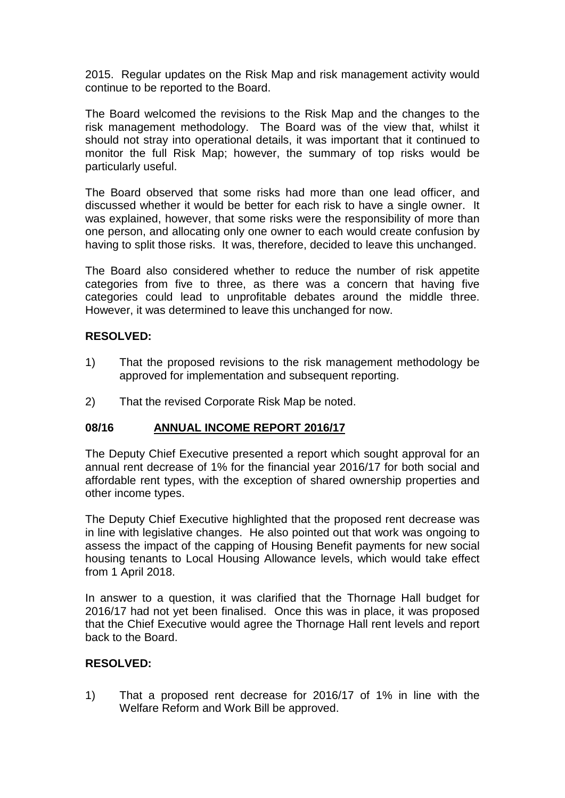2015. Regular updates on the Risk Map and risk management activity would continue to be reported to the Board.

The Board welcomed the revisions to the Risk Map and the changes to the risk management methodology. The Board was of the view that, whilst it should not stray into operational details, it was important that it continued to monitor the full Risk Map; however, the summary of top risks would be particularly useful.

The Board observed that some risks had more than one lead officer, and discussed whether it would be better for each risk to have a single owner. It was explained, however, that some risks were the responsibility of more than one person, and allocating only one owner to each would create confusion by having to split those risks. It was, therefore, decided to leave this unchanged.

The Board also considered whether to reduce the number of risk appetite categories from five to three, as there was a concern that having five categories could lead to unprofitable debates around the middle three. However, it was determined to leave this unchanged for now.

### **RESOLVED:**

- 1) That the proposed revisions to the risk management methodology be approved for implementation and subsequent reporting.
- 2) That the revised Corporate Risk Map be noted.

### **08/16 ANNUAL INCOME REPORT 2016/17**

The Deputy Chief Executive presented a report which sought approval for an annual rent decrease of 1% for the financial year 2016/17 for both social and affordable rent types, with the exception of shared ownership properties and other income types.

The Deputy Chief Executive highlighted that the proposed rent decrease was in line with legislative changes. He also pointed out that work was ongoing to assess the impact of the capping of Housing Benefit payments for new social housing tenants to Local Housing Allowance levels, which would take effect from 1 April 2018.

In answer to a question, it was clarified that the Thornage Hall budget for 2016/17 had not yet been finalised. Once this was in place, it was proposed that the Chief Executive would agree the Thornage Hall rent levels and report back to the Board.

### **RESOLVED:**

1) That a proposed rent decrease for 2016/17 of 1% in line with the Welfare Reform and Work Bill be approved.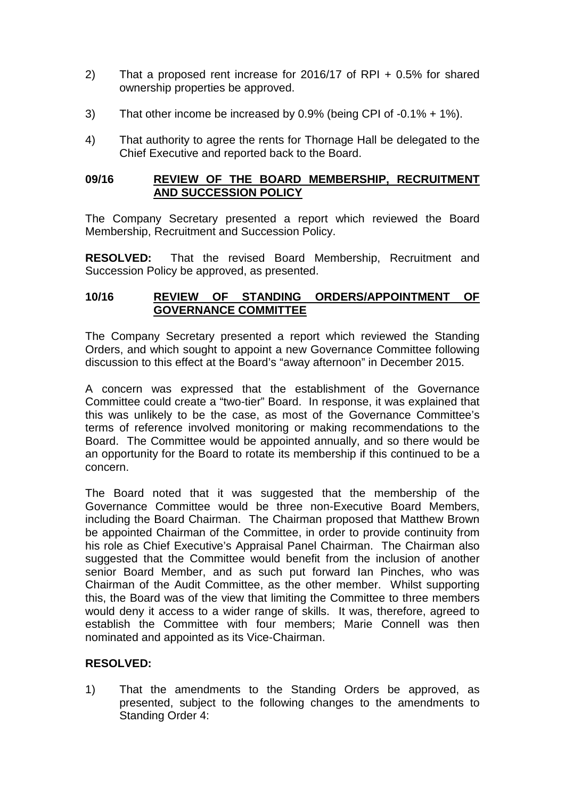- 2) That a proposed rent increase for 2016/17 of RPI + 0.5% for shared ownership properties be approved.
- 3) That other income be increased by 0.9% (being CPI of -0.1% + 1%).
- 4) That authority to agree the rents for Thornage Hall be delegated to the Chief Executive and reported back to the Board.

#### **09/16 REVIEW OF THE BOARD MEMBERSHIP, RECRUITMENT AND SUCCESSION POLICY**

The Company Secretary presented a report which reviewed the Board Membership, Recruitment and Succession Policy.

**RESOLVED:** That the revised Board Membership, Recruitment and Succession Policy be approved, as presented.

### **10/16 REVIEW OF STANDING ORDERS/APPOINTMENT OF GOVERNANCE COMMITTEE**

The Company Secretary presented a report which reviewed the Standing Orders, and which sought to appoint a new Governance Committee following discussion to this effect at the Board's "away afternoon" in December 2015.

A concern was expressed that the establishment of the Governance Committee could create a "two-tier" Board. In response, it was explained that this was unlikely to be the case, as most of the Governance Committee's terms of reference involved monitoring or making recommendations to the Board. The Committee would be appointed annually, and so there would be an opportunity for the Board to rotate its membership if this continued to be a concern.

The Board noted that it was suggested that the membership of the Governance Committee would be three non-Executive Board Members, including the Board Chairman. The Chairman proposed that Matthew Brown be appointed Chairman of the Committee, in order to provide continuity from his role as Chief Executive's Appraisal Panel Chairman. The Chairman also suggested that the Committee would benefit from the inclusion of another senior Board Member, and as such put forward Ian Pinches, who was Chairman of the Audit Committee, as the other member. Whilst supporting this, the Board was of the view that limiting the Committee to three members would deny it access to a wider range of skills. It was, therefore, agreed to establish the Committee with four members; Marie Connell was then nominated and appointed as its Vice-Chairman.

# **RESOLVED:**

1) That the amendments to the Standing Orders be approved, as presented, subject to the following changes to the amendments to Standing Order 4: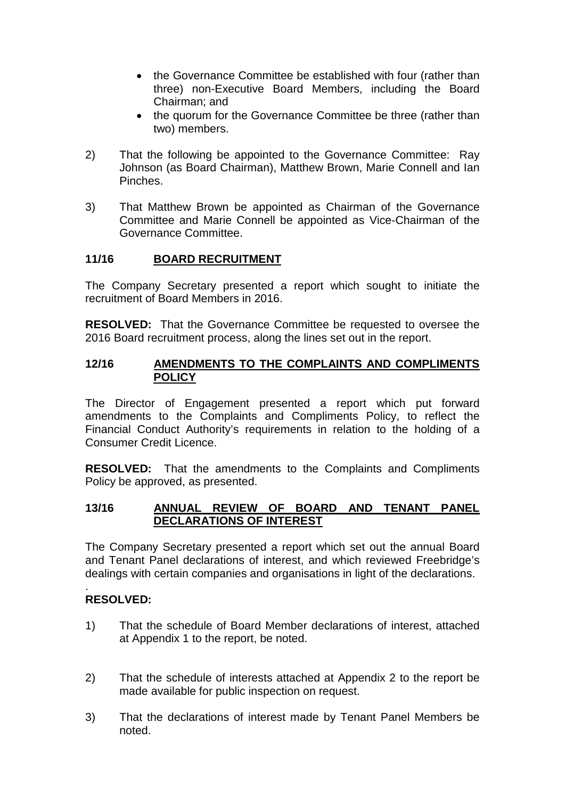- the Governance Committee be established with four (rather than three) non-Executive Board Members, including the Board Chairman; and
- the quorum for the Governance Committee be three (rather than two) members.
- 2) That the following be appointed to the Governance Committee: Ray Johnson (as Board Chairman), Matthew Brown, Marie Connell and Ian Pinches.
- 3) That Matthew Brown be appointed as Chairman of the Governance Committee and Marie Connell be appointed as Vice-Chairman of the Governance Committee.

### **11/16 BOARD RECRUITMENT**

The Company Secretary presented a report which sought to initiate the recruitment of Board Members in 2016.

**RESOLVED:** That the Governance Committee be requested to oversee the 2016 Board recruitment process, along the lines set out in the report.

#### **12/16 AMENDMENTS TO THE COMPLAINTS AND COMPLIMENTS POLICY**

The Director of Engagement presented a report which put forward amendments to the Complaints and Compliments Policy, to reflect the Financial Conduct Authority's requirements in relation to the holding of a Consumer Credit Licence.

**RESOLVED:** That the amendments to the Complaints and Compliments Policy be approved, as presented.

### **13/16 ANNUAL REVIEW OF BOARD AND TENANT PANEL DECLARATIONS OF INTEREST**

The Company Secretary presented a report which set out the annual Board and Tenant Panel declarations of interest, and which reviewed Freebridge's dealings with certain companies and organisations in light of the declarations.

#### . **RESOLVED:**

- 1) That the schedule of Board Member declarations of interest, attached at Appendix 1 to the report, be noted.
- 2) That the schedule of interests attached at Appendix 2 to the report be made available for public inspection on request.
- 3) That the declarations of interest made by Tenant Panel Members be noted.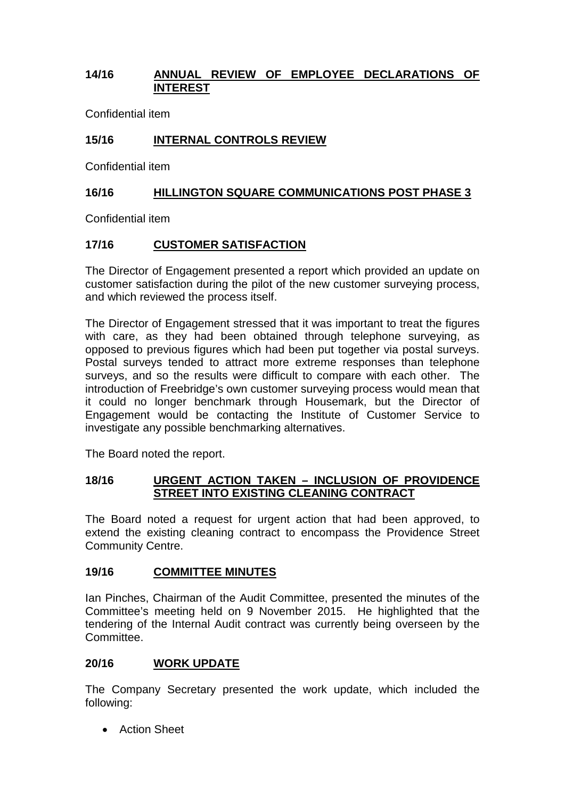### **14/16 ANNUAL REVIEW OF EMPLOYEE DECLARATIONS OF INTEREST**

Confidential item

# **15/16 INTERNAL CONTROLS REVIEW**

Confidential item

# **16/16 HILLINGTON SQUARE COMMUNICATIONS POST PHASE 3**

Confidential item

# **17/16 CUSTOMER SATISFACTION**

The Director of Engagement presented a report which provided an update on customer satisfaction during the pilot of the new customer surveying process, and which reviewed the process itself.

The Director of Engagement stressed that it was important to treat the figures with care, as they had been obtained through telephone surveying, as opposed to previous figures which had been put together via postal surveys. Postal surveys tended to attract more extreme responses than telephone surveys, and so the results were difficult to compare with each other. The introduction of Freebridge's own customer surveying process would mean that it could no longer benchmark through Housemark, but the Director of Engagement would be contacting the Institute of Customer Service to investigate any possible benchmarking alternatives.

The Board noted the report.

### **18/16 URGENT ACTION TAKEN – INCLUSION OF PROVIDENCE STREET INTO EXISTING CLEANING CONTRACT**

The Board noted a request for urgent action that had been approved, to extend the existing cleaning contract to encompass the Providence Street Community Centre.

### **19/16 COMMITTEE MINUTES**

Ian Pinches, Chairman of the Audit Committee, presented the minutes of the Committee's meeting held on 9 November 2015. He highlighted that the tendering of the Internal Audit contract was currently being overseen by the Committee.

# **20/16 WORK UPDATE**

The Company Secretary presented the work update, which included the following:

• Action Sheet